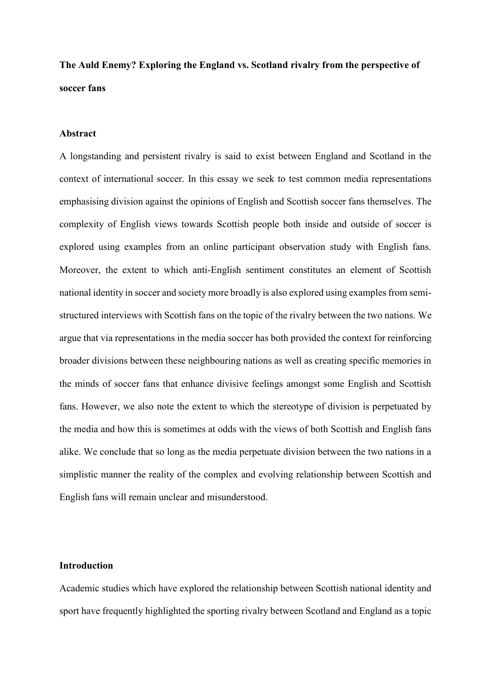**The Auld Enemy? Exploring the England vs. Scotland rivalry from the perspective of soccer fans**

### **Abstract**

A longstanding and persistent rivalry is said to exist between England and Scotland in the context of international soccer. In this essay we seek to test common media representations emphasising division against the opinions of English and Scottish soccer fans themselves. The complexity of English views towards Scottish people both inside and outside of soccer is explored using examples from an online participant observation study with English fans. Moreover, the extent to which anti-English sentiment constitutes an element of Scottish national identity in soccer and society more broadly is also explored using examples from semistructured interviews with Scottish fans on the topic of the rivalry between the two nations. We argue that via representations in the media soccer has both provided the context for reinforcing broader divisions between these neighbouring nations as well as creating specific memories in the minds of soccer fans that enhance divisive feelings amongst some English and Scottish fans. However, we also note the extent to which the stereotype of division is perpetuated by the media and how this is sometimes at odds with the views of both Scottish and English fans alike. We conclude that so long as the media perpetuate division between the two nations in a simplistic manner the reality of the complex and evolving relationship between Scottish and English fans will remain unclear and misunderstood.

# **Introduction**

Academic studies which have explored the relationship between Scottish national identity and sport have frequently highlighted the sporting rivalry between Scotland and England as a topic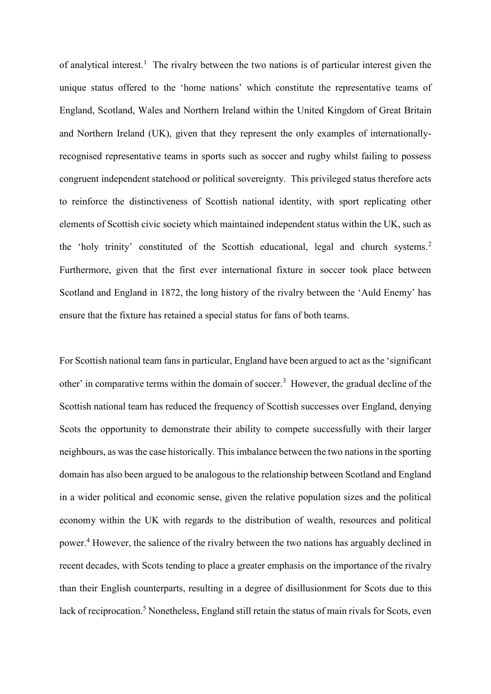of analytical interest.<sup>1</sup> The rivalry between the two nations is of particular interest given the unique status offered to the 'home nations' which constitute the representative teams of England, Scotland, Wales and Northern Ireland within the United Kingdom of Great Britain and Northern Ireland (UK), given that they represent the only examples of internationallyrecognised representative teams in sports such as soccer and rugby whilst failing to possess congruent independent statehood or political sovereignty. This privileged status therefore acts to reinforce the distinctiveness of Scottish national identity, with sport replicating other elements of Scottish civic society which maintained independent status within the UK, such as the 'holy trinity' constituted of the Scottish educational, legal and church systems.<sup>2</sup> Furthermore, given that the first ever international fixture in soccer took place between Scotland and England in 1872, the long history of the rivalry between the 'Auld Enemy' has ensure that the fixture has retained a special status for fans of both teams.

For Scottish national team fans in particular, England have been argued to act as the 'significant other' in comparative terms within the domain of soccer.<sup>3</sup> However, the gradual decline of the Scottish national team has reduced the frequency of Scottish successes over England, denying Scots the opportunity to demonstrate their ability to compete successfully with their larger neighbours, as was the case historically. This imbalance between the two nations in the sporting domain has also been argued to be analogous to the relationship between Scotland and England in a wider political and economic sense, given the relative population sizes and the political economy within the UK with regards to the distribution of wealth, resources and political power.<sup>4</sup> However, the salience of the rivalry between the two nations has arguably declined in recent decades, with Scots tending to place a greater emphasis on the importance of the rivalry than their English counterparts, resulting in a degree of disillusionment for Scots due to this lack of reciprocation.<sup>5</sup> Nonetheless, England still retain the status of main rivals for Scots, even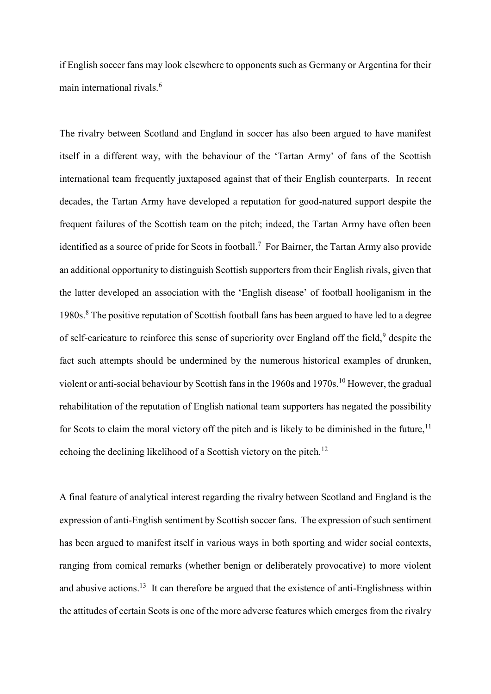if English soccer fans may look elsewhere to opponents such as Germany or Argentina for their main international rivals<sup>6</sup>

The rivalry between Scotland and England in soccer has also been argued to have manifest itself in a different way, with the behaviour of the 'Tartan Army' of fans of the Scottish international team frequently juxtaposed against that of their English counterparts. In recent decades, the Tartan Army have developed a reputation for good-natured support despite the frequent failures of the Scottish team on the pitch; indeed, the Tartan Army have often been identified as a source of pride for Scots in football.<sup>7</sup> For Bairner, the Tartan Army also provide an additional opportunity to distinguish Scottish supporters from their English rivals, given that the latter developed an association with the 'English disease' of football hooliganism in the 1980s.<sup>8</sup> The positive reputation of Scottish football fans has been argued to have led to a degree of self-caricature to reinforce this sense of superiority over England off the field,<sup>9</sup> despite the fact such attempts should be undermined by the numerous historical examples of drunken, violent or anti-social behaviour by Scottish fans in the 1960s and 1970s.<sup>10</sup> However, the gradual rehabilitation of the reputation of English national team supporters has negated the possibility for Scots to claim the moral victory off the pitch and is likely to be diminished in the future,  $11$ echoing the declining likelihood of a Scottish victory on the pitch.<sup>12</sup>

A final feature of analytical interest regarding the rivalry between Scotland and England is the expression of anti-English sentiment by Scottish soccer fans. The expression of such sentiment has been argued to manifest itself in various ways in both sporting and wider social contexts, ranging from comical remarks (whether benign or deliberately provocative) to more violent and abusive actions.<sup>13</sup> It can therefore be argued that the existence of anti-Englishness within the attitudes of certain Scots is one of the more adverse features which emerges from the rivalry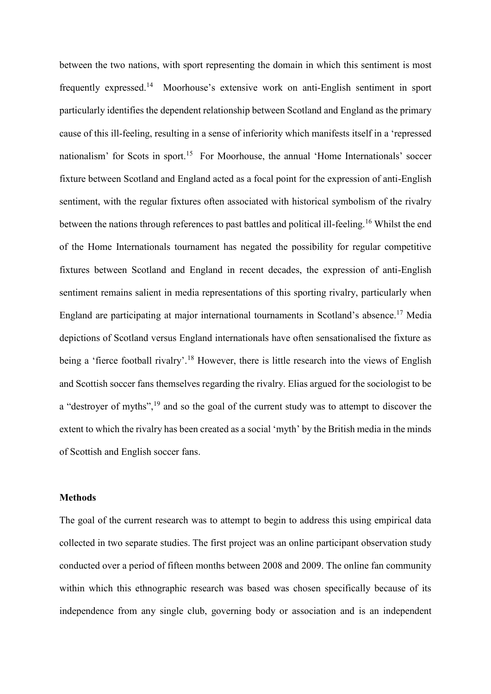between the two nations, with sport representing the domain in which this sentiment is most frequently expressed.<sup>14</sup> Moorhouse's extensive work on anti-English sentiment in sport particularly identifies the dependent relationship between Scotland and England as the primary cause of this ill-feeling, resulting in a sense of inferiority which manifests itself in a 'repressed nationalism' for Scots in sport.<sup>15</sup> For Moorhouse, the annual 'Home Internationals' soccer fixture between Scotland and England acted as a focal point for the expression of anti-English sentiment, with the regular fixtures often associated with historical symbolism of the rivalry between the nations through references to past battles and political ill-feeling.<sup>16</sup> Whilst the end of the Home Internationals tournament has negated the possibility for regular competitive fixtures between Scotland and England in recent decades, the expression of anti-English sentiment remains salient in media representations of this sporting rivalry, particularly when England are participating at major international tournaments in Scotland's absence.<sup>17</sup> Media depictions of Scotland versus England internationals have often sensationalised the fixture as being a 'fierce football rivalry'.<sup>18</sup> However, there is little research into the views of English and Scottish soccer fans themselves regarding the rivalry. Elias argued for the sociologist to be a "destroyer of myths",<sup>19</sup> and so the goal of the current study was to attempt to discover the extent to which the rivalry has been created as a social 'myth' by the British media in the minds of Scottish and English soccer fans.

### **Methods**

The goal of the current research was to attempt to begin to address this using empirical data collected in two separate studies. The first project was an online participant observation study conducted over a period of fifteen months between 2008 and 2009. The online fan community within which this ethnographic research was based was chosen specifically because of its independence from any single club, governing body or association and is an independent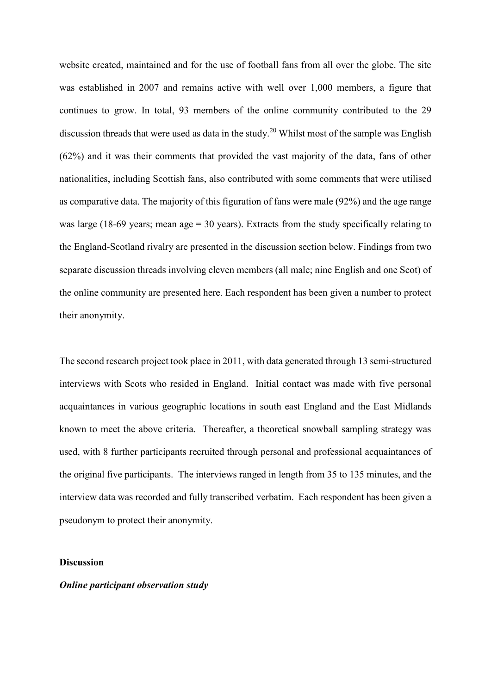website created, maintained and for the use of football fans from all over the globe. The site was established in 2007 and remains active with well over 1,000 members, a figure that continues to grow. In total, 93 members of the online community contributed to the 29 discussion threads that were used as data in the study.<sup>20</sup> Whilst most of the sample was English (62%) and it was their comments that provided the vast majority of the data, fans of other nationalities, including Scottish fans, also contributed with some comments that were utilised as comparative data. The majority of this figuration of fans were male (92%) and the age range was large (18-69 years; mean age = 30 years). Extracts from the study specifically relating to the England-Scotland rivalry are presented in the discussion section below. Findings from two separate discussion threads involving eleven members (all male; nine English and one Scot) of the online community are presented here. Each respondent has been given a number to protect their anonymity.

The second research project took place in 2011, with data generated through 13 semi-structured interviews with Scots who resided in England. Initial contact was made with five personal acquaintances in various geographic locations in south east England and the East Midlands known to meet the above criteria. Thereafter, a theoretical snowball sampling strategy was used, with 8 further participants recruited through personal and professional acquaintances of the original five participants. The interviews ranged in length from 35 to 135 minutes, and the interview data was recorded and fully transcribed verbatim. Each respondent has been given a pseudonym to protect their anonymity.

#### **Discussion**

### *Online participant observation study*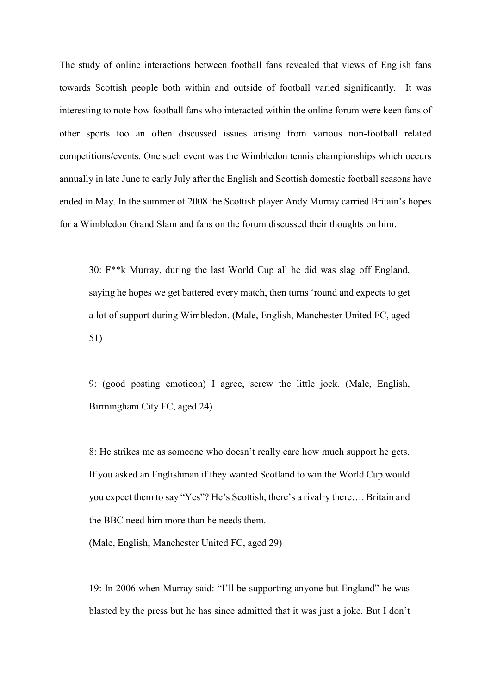The study of online interactions between football fans revealed that views of English fans towards Scottish people both within and outside of football varied significantly. It was interesting to note how football fans who interacted within the online forum were keen fans of other sports too an often discussed issues arising from various non-football related competitions/events. One such event was the Wimbledon tennis championships which occurs annually in late June to early July after the English and Scottish domestic football seasons have ended in May. In the summer of 2008 the Scottish player Andy Murray carried Britain's hopes for a Wimbledon Grand Slam and fans on the forum discussed their thoughts on him.

30: F\*\*k Murray, during the last World Cup all he did was slag off England, saying he hopes we get battered every match, then turns 'round and expects to get a lot of support during Wimbledon. (Male, English, Manchester United FC, aged 51)

9: (good posting emoticon) I agree, screw the little jock. (Male, English, Birmingham City FC, aged 24)

8: He strikes me as someone who doesn't really care how much support he gets. If you asked an Englishman if they wanted Scotland to win the World Cup would you expect them to say "Yes"? He's Scottish, there's a rivalry there…. Britain and the BBC need him more than he needs them.

(Male, English, Manchester United FC, aged 29)

19: In 2006 when Murray said: "I'll be supporting anyone but England" he was blasted by the press but he has since admitted that it was just a joke. But I don't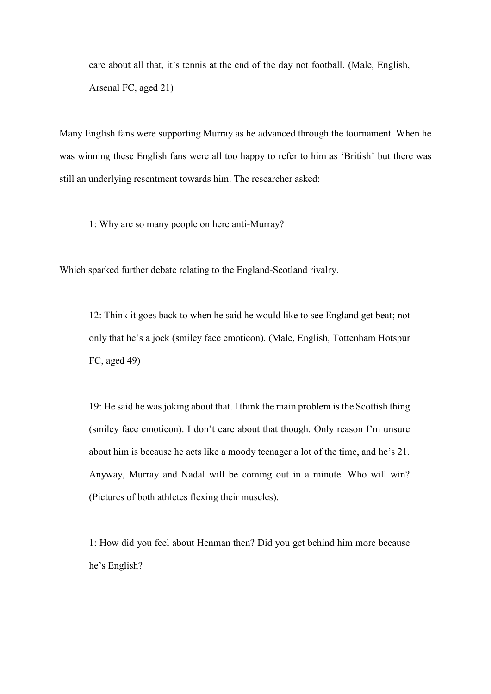care about all that, it's tennis at the end of the day not football. (Male, English, Arsenal FC, aged 21)

Many English fans were supporting Murray as he advanced through the tournament. When he was winning these English fans were all too happy to refer to him as 'British' but there was still an underlying resentment towards him. The researcher asked:

1: Why are so many people on here anti-Murray?

Which sparked further debate relating to the England-Scotland rivalry.

12: Think it goes back to when he said he would like to see England get beat; not only that he's a jock (smiley face emoticon). (Male, English, Tottenham Hotspur FC, aged 49)

19: He said he was joking about that. I think the main problem is the Scottish thing (smiley face emoticon). I don't care about that though. Only reason I'm unsure about him is because he acts like a moody teenager a lot of the time, and he's 21. Anyway, Murray and Nadal will be coming out in a minute. Who will win? (Pictures of both athletes flexing their muscles).

1: How did you feel about Henman then? Did you get behind him more because he's English?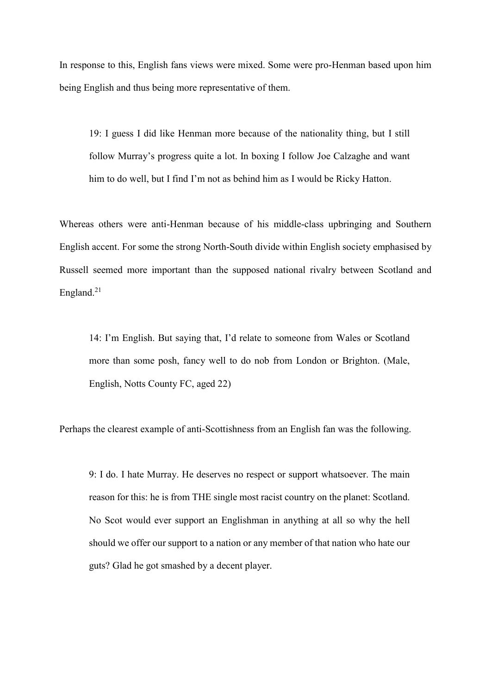In response to this, English fans views were mixed. Some were pro-Henman based upon him being English and thus being more representative of them.

19: I guess I did like Henman more because of the nationality thing, but I still follow Murray's progress quite a lot. In boxing I follow Joe Calzaghe and want him to do well, but I find I'm not as behind him as I would be Ricky Hatton.

Whereas others were anti-Henman because of his middle-class upbringing and Southern English accent. For some the strong North-South divide within English society emphasised by Russell seemed more important than the supposed national rivalry between Scotland and England. $21$ 

14: I'm English. But saying that, I'd relate to someone from Wales or Scotland more than some posh, fancy well to do nob from London or Brighton. (Male, English, Notts County FC, aged 22)

Perhaps the clearest example of anti-Scottishness from an English fan was the following.

9: I do. I hate Murray. He deserves no respect or support whatsoever. The main reason for this: he is from THE single most racist country on the planet: Scotland. No Scot would ever support an Englishman in anything at all so why the hell should we offer our support to a nation or any member of that nation who hate our guts? Glad he got smashed by a decent player.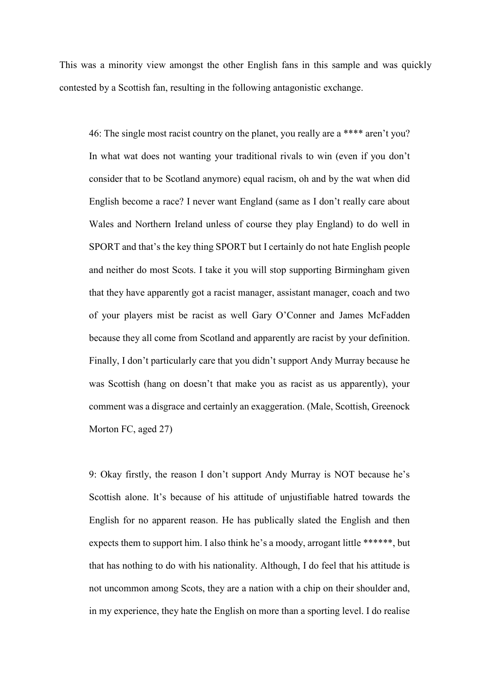This was a minority view amongst the other English fans in this sample and was quickly contested by a Scottish fan, resulting in the following antagonistic exchange.

46: The single most racist country on the planet, you really are a \*\*\*\* aren't you? In what wat does not wanting your traditional rivals to win (even if you don't consider that to be Scotland anymore) equal racism, oh and by the wat when did English become a race? I never want England (same as I don't really care about Wales and Northern Ireland unless of course they play England) to do well in SPORT and that's the key thing SPORT but I certainly do not hate English people and neither do most Scots. I take it you will stop supporting Birmingham given that they have apparently got a racist manager, assistant manager, coach and two of your players mist be racist as well Gary O'Conner and James McFadden because they all come from Scotland and apparently are racist by your definition. Finally, I don't particularly care that you didn't support Andy Murray because he was Scottish (hang on doesn't that make you as racist as us apparently), your comment was a disgrace and certainly an exaggeration. (Male, Scottish, Greenock Morton FC, aged 27)

9: Okay firstly, the reason I don't support Andy Murray is NOT because he's Scottish alone. It's because of his attitude of unjustifiable hatred towards the English for no apparent reason. He has publically slated the English and then expects them to support him. I also think he's a moody, arrogant little \*\*\*\*\*\*, but that has nothing to do with his nationality. Although, I do feel that his attitude is not uncommon among Scots, they are a nation with a chip on their shoulder and, in my experience, they hate the English on more than a sporting level. I do realise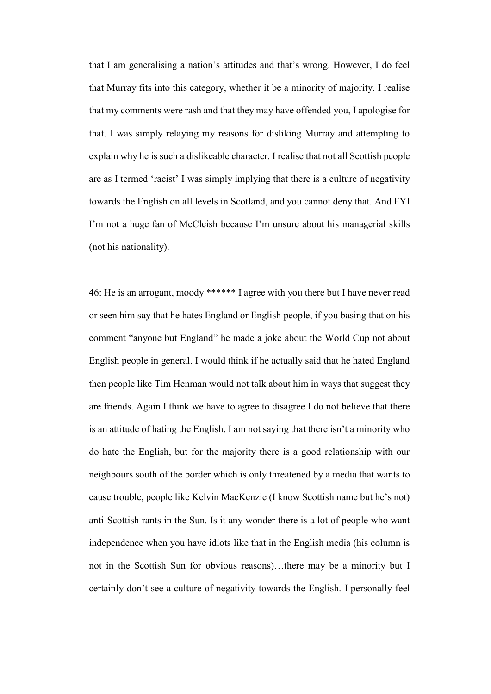that I am generalising a nation's attitudes and that's wrong. However, I do feel that Murray fits into this category, whether it be a minority of majority. I realise that my comments were rash and that they may have offended you, I apologise for that. I was simply relaying my reasons for disliking Murray and attempting to explain why he is such a dislikeable character. I realise that not all Scottish people are as I termed 'racist' I was simply implying that there is a culture of negativity towards the English on all levels in Scotland, and you cannot deny that. And FYI I'm not a huge fan of McCleish because I'm unsure about his managerial skills (not his nationality).

46: He is an arrogant, moody \*\*\*\*\*\* I agree with you there but I have never read or seen him say that he hates England or English people, if you basing that on his comment "anyone but England" he made a joke about the World Cup not about English people in general. I would think if he actually said that he hated England then people like Tim Henman would not talk about him in ways that suggest they are friends. Again I think we have to agree to disagree I do not believe that there is an attitude of hating the English. I am not saying that there isn't a minority who do hate the English, but for the majority there is a good relationship with our neighbours south of the border which is only threatened by a media that wants to cause trouble, people like Kelvin MacKenzie (I know Scottish name but he's not) anti-Scottish rants in the Sun. Is it any wonder there is a lot of people who want independence when you have idiots like that in the English media (his column is not in the Scottish Sun for obvious reasons)…there may be a minority but I certainly don't see a culture of negativity towards the English. I personally feel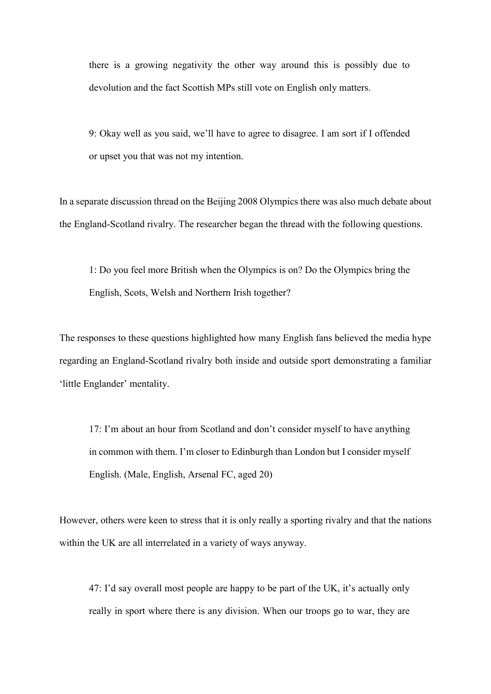there is a growing negativity the other way around this is possibly due to devolution and the fact Scottish MPs still vote on English only matters.

9: Okay well as you said, we'll have to agree to disagree. I am sort if I offended or upset you that was not my intention.

In a separate discussion thread on the Beijing 2008 Olympics there was also much debate about the England-Scotland rivalry. The researcher began the thread with the following questions.

1: Do you feel more British when the Olympics is on? Do the Olympics bring the English, Scots, Welsh and Northern Irish together?

The responses to these questions highlighted how many English fans believed the media hype regarding an England-Scotland rivalry both inside and outside sport demonstrating a familiar 'little Englander' mentality.

17: I'm about an hour from Scotland and don't consider myself to have anything in common with them. I'm closer to Edinburgh than London but I consider myself English. (Male, English, Arsenal FC, aged 20)

However, others were keen to stress that it is only really a sporting rivalry and that the nations within the UK are all interrelated in a variety of ways anyway.

47: I'd say overall most people are happy to be part of the UK, it's actually only really in sport where there is any division. When our troops go to war, they are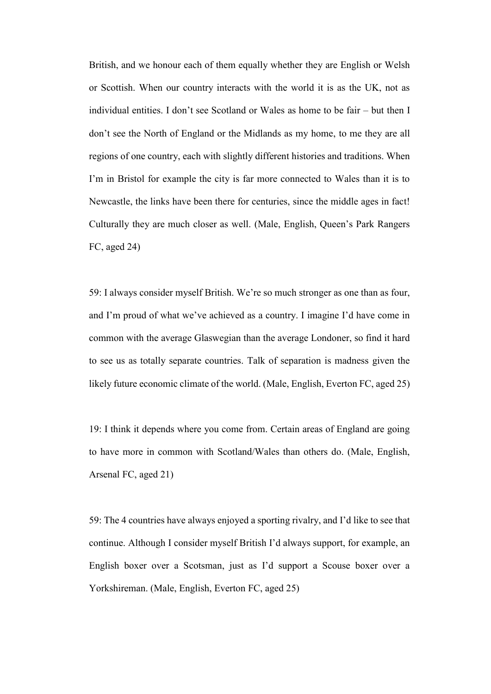British, and we honour each of them equally whether they are English or Welsh or Scottish. When our country interacts with the world it is as the UK, not as individual entities. I don't see Scotland or Wales as home to be fair – but then I don't see the North of England or the Midlands as my home, to me they are all regions of one country, each with slightly different histories and traditions. When I'm in Bristol for example the city is far more connected to Wales than it is to Newcastle, the links have been there for centuries, since the middle ages in fact! Culturally they are much closer as well. (Male, English, Queen's Park Rangers FC, aged 24)

59: I always consider myself British. We're so much stronger as one than as four, and I'm proud of what we've achieved as a country. I imagine I'd have come in common with the average Glaswegian than the average Londoner, so find it hard to see us as totally separate countries. Talk of separation is madness given the likely future economic climate of the world. (Male, English, Everton FC, aged 25)

19: I think it depends where you come from. Certain areas of England are going to have more in common with Scotland/Wales than others do. (Male, English, Arsenal FC, aged 21)

59: The 4 countries have always enjoyed a sporting rivalry, and I'd like to see that continue. Although I consider myself British I'd always support, for example, an English boxer over a Scotsman, just as I'd support a Scouse boxer over a Yorkshireman. (Male, English, Everton FC, aged 25)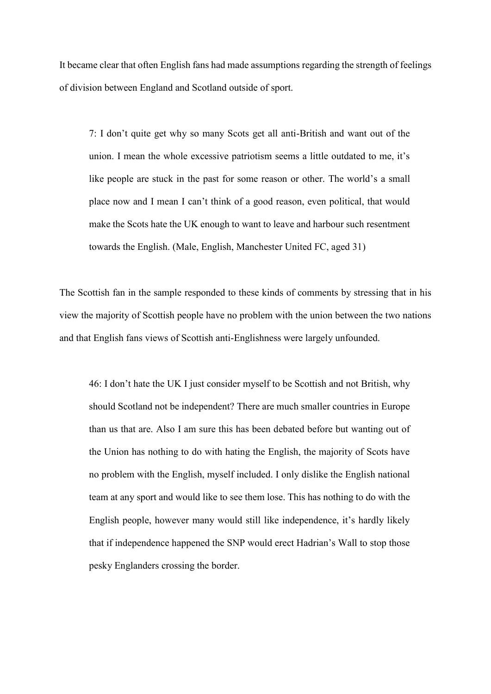It became clear that often English fans had made assumptions regarding the strength of feelings of division between England and Scotland outside of sport.

7: I don't quite get why so many Scots get all anti-British and want out of the union. I mean the whole excessive patriotism seems a little outdated to me, it's like people are stuck in the past for some reason or other. The world's a small place now and I mean I can't think of a good reason, even political, that would make the Scots hate the UK enough to want to leave and harbour such resentment towards the English. (Male, English, Manchester United FC, aged 31)

The Scottish fan in the sample responded to these kinds of comments by stressing that in his view the majority of Scottish people have no problem with the union between the two nations and that English fans views of Scottish anti-Englishness were largely unfounded.

46: I don't hate the UK I just consider myself to be Scottish and not British, why should Scotland not be independent? There are much smaller countries in Europe than us that are. Also I am sure this has been debated before but wanting out of the Union has nothing to do with hating the English, the majority of Scots have no problem with the English, myself included. I only dislike the English national team at any sport and would like to see them lose. This has nothing to do with the English people, however many would still like independence, it's hardly likely that if independence happened the SNP would erect Hadrian's Wall to stop those pesky Englanders crossing the border.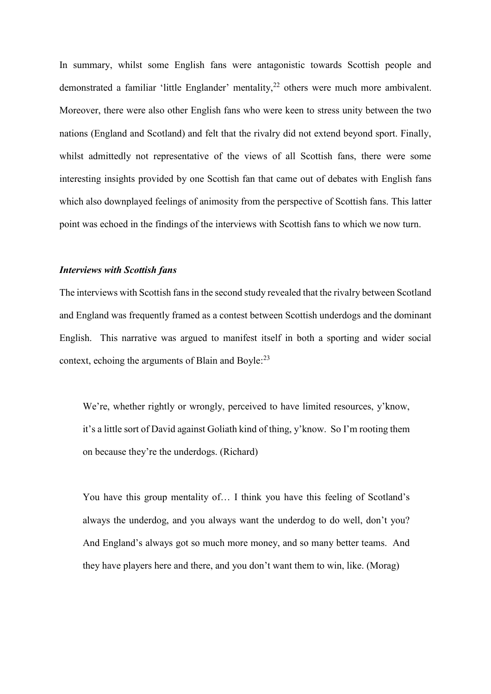In summary, whilst some English fans were antagonistic towards Scottish people and demonstrated a familiar 'little Englander' mentality,<sup>22</sup> others were much more ambivalent. Moreover, there were also other English fans who were keen to stress unity between the two nations (England and Scotland) and felt that the rivalry did not extend beyond sport. Finally, whilst admittedly not representative of the views of all Scottish fans, there were some interesting insights provided by one Scottish fan that came out of debates with English fans which also downplayed feelings of animosity from the perspective of Scottish fans. This latter point was echoed in the findings of the interviews with Scottish fans to which we now turn.

# *Interviews with Scottish fans*

The interviews with Scottish fans in the second study revealed that the rivalry between Scotland and England was frequently framed as a contest between Scottish underdogs and the dominant English. This narrative was argued to manifest itself in both a sporting and wider social context, echoing the arguments of Blain and Boyle:<sup>23</sup>

We're, whether rightly or wrongly, perceived to have limited resources, y'know, it's a little sort of David against Goliath kind of thing, y'know. So I'm rooting them on because they're the underdogs. (Richard)

You have this group mentality of… I think you have this feeling of Scotland's always the underdog, and you always want the underdog to do well, don't you? And England's always got so much more money, and so many better teams. And they have players here and there, and you don't want them to win, like. (Morag)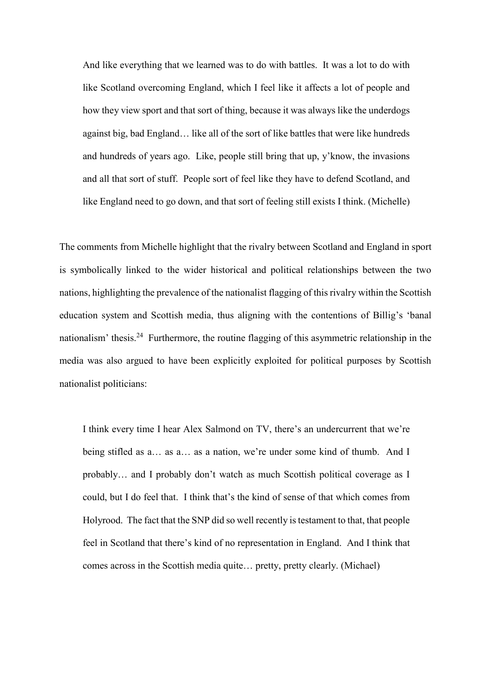And like everything that we learned was to do with battles. It was a lot to do with like Scotland overcoming England, which I feel like it affects a lot of people and how they view sport and that sort of thing, because it was always like the underdogs against big, bad England… like all of the sort of like battles that were like hundreds and hundreds of years ago. Like, people still bring that up, y'know, the invasions and all that sort of stuff. People sort of feel like they have to defend Scotland, and like England need to go down, and that sort of feeling still exists I think. (Michelle)

The comments from Michelle highlight that the rivalry between Scotland and England in sport is symbolically linked to the wider historical and political relationships between the two nations, highlighting the prevalence of the nationalist flagging of this rivalry within the Scottish education system and Scottish media, thus aligning with the contentions of Billig's 'banal nationalism' thesis.<sup>24</sup> Furthermore, the routine flagging of this asymmetric relationship in the media was also argued to have been explicitly exploited for political purposes by Scottish nationalist politicians:

I think every time I hear Alex Salmond on TV, there's an undercurrent that we're being stifled as a… as a… as a nation, we're under some kind of thumb. And I probably… and I probably don't watch as much Scottish political coverage as I could, but I do feel that. I think that's the kind of sense of that which comes from Holyrood. The fact that the SNP did so well recently is testament to that, that people feel in Scotland that there's kind of no representation in England. And I think that comes across in the Scottish media quite… pretty, pretty clearly. (Michael)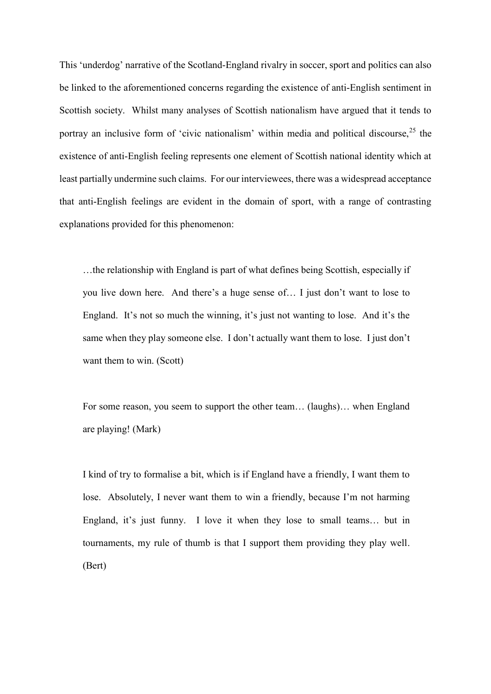This 'underdog' narrative of the Scotland-England rivalry in soccer, sport and politics can also be linked to the aforementioned concerns regarding the existence of anti-English sentiment in Scottish society. Whilst many analyses of Scottish nationalism have argued that it tends to portray an inclusive form of 'civic nationalism' within media and political discourse,  $25$  the existence of anti-English feeling represents one element of Scottish national identity which at least partially undermine such claims. For our interviewees, there was a widespread acceptance that anti-English feelings are evident in the domain of sport, with a range of contrasting explanations provided for this phenomenon:

…the relationship with England is part of what defines being Scottish, especially if you live down here. And there's a huge sense of… I just don't want to lose to England. It's not so much the winning, it's just not wanting to lose. And it's the same when they play someone else. I don't actually want them to lose. I just don't want them to win. (Scott)

For some reason, you seem to support the other team… (laughs)… when England are playing! (Mark)

I kind of try to formalise a bit, which is if England have a friendly, I want them to lose. Absolutely, I never want them to win a friendly, because I'm not harming England, it's just funny. I love it when they lose to small teams… but in tournaments, my rule of thumb is that I support them providing they play well. (Bert)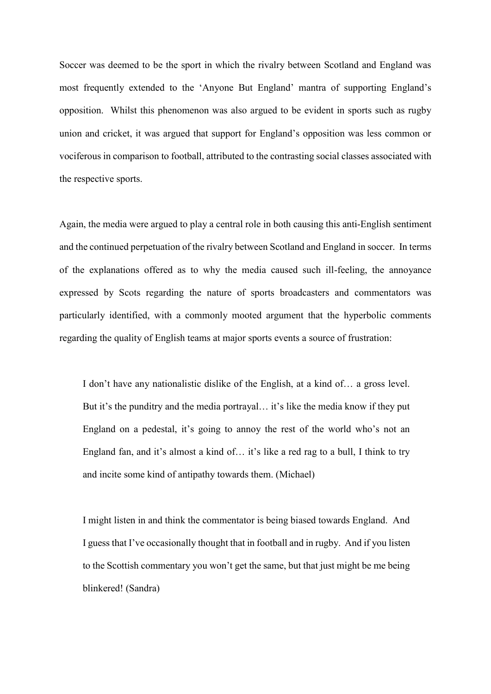Soccer was deemed to be the sport in which the rivalry between Scotland and England was most frequently extended to the 'Anyone But England' mantra of supporting England's opposition. Whilst this phenomenon was also argued to be evident in sports such as rugby union and cricket, it was argued that support for England's opposition was less common or vociferous in comparison to football, attributed to the contrasting social classes associated with the respective sports.

Again, the media were argued to play a central role in both causing this anti-English sentiment and the continued perpetuation of the rivalry between Scotland and England in soccer. In terms of the explanations offered as to why the media caused such ill-feeling, the annoyance expressed by Scots regarding the nature of sports broadcasters and commentators was particularly identified, with a commonly mooted argument that the hyperbolic comments regarding the quality of English teams at major sports events a source of frustration:

I don't have any nationalistic dislike of the English, at a kind of… a gross level. But it's the punditry and the media portrayal… it's like the media know if they put England on a pedestal, it's going to annoy the rest of the world who's not an England fan, and it's almost a kind of… it's like a red rag to a bull, I think to try and incite some kind of antipathy towards them. (Michael)

I might listen in and think the commentator is being biased towards England. And I guess that I've occasionally thought that in football and in rugby. And if you listen to the Scottish commentary you won't get the same, but that just might be me being blinkered! (Sandra)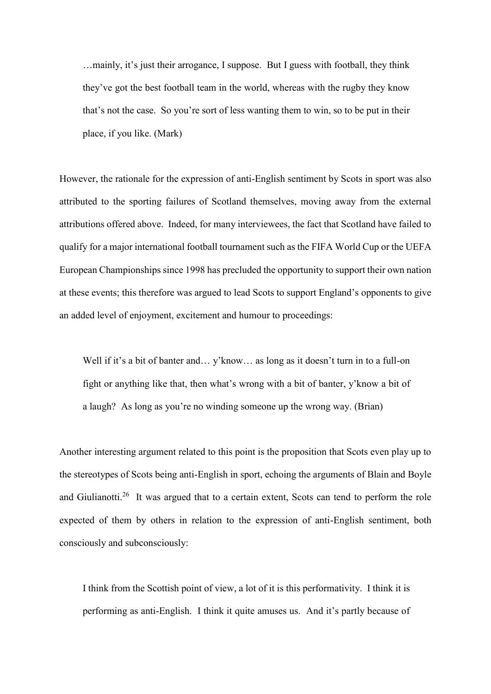…mainly, it's just their arrogance, I suppose. But I guess with football, they think they've got the best football team in the world, whereas with the rugby they know that's not the case. So you're sort of less wanting them to win, so to be put in their place, if you like. (Mark)

However, the rationale for the expression of anti-English sentiment by Scots in sport was also attributed to the sporting failures of Scotland themselves, moving away from the external attributions offered above. Indeed, for many interviewees, the fact that Scotland have failed to qualify for a major international football tournament such as the FIFA World Cup or the UEFA European Championships since 1998 has precluded the opportunity to support their own nation at these events; this therefore was argued to lead Scots to support England's opponents to give an added level of enjoyment, excitement and humour to proceedings:

Well if it's a bit of banter and... y'know... as long as it doesn't turn in to a full-on fight or anything like that, then what's wrong with a bit of banter, y'know a bit of a laugh? As long as you're no winding someone up the wrong way. (Brian)

Another interesting argument related to this point is the proposition that Scots even play up to the stereotypes of Scots being anti-English in sport, echoing the arguments of Blain and Boyle and Giulianotti.<sup>26</sup> It was argued that to a certain extent, Scots can tend to perform the role expected of them by others in relation to the expression of anti-English sentiment, both consciously and subconsciously:

I think from the Scottish point of view, a lot of it is this performativity. I think it is performing as anti-English. I think it quite amuses us. And it's partly because of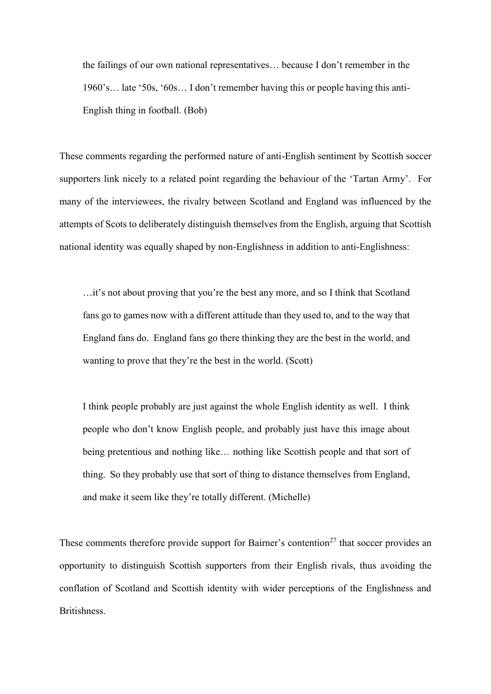the failings of our own national representatives… because I don't remember in the 1960's… late '50s, '60s… I don't remember having this or people having this anti-English thing in football. (Bob)

These comments regarding the performed nature of anti-English sentiment by Scottish soccer supporters link nicely to a related point regarding the behaviour of the 'Tartan Army'. For many of the interviewees, the rivalry between Scotland and England was influenced by the attempts of Scots to deliberately distinguish themselves from the English, arguing that Scottish national identity was equally shaped by non-Englishness in addition to anti-Englishness:

…it's not about proving that you're the best any more, and so I think that Scotland fans go to games now with a different attitude than they used to, and to the way that England fans do. England fans go there thinking they are the best in the world, and wanting to prove that they're the best in the world. (Scott)

I think people probably are just against the whole English identity as well. I think people who don't know English people, and probably just have this image about being pretentious and nothing like… nothing like Scottish people and that sort of thing. So they probably use that sort of thing to distance themselves from England, and make it seem like they're totally different. (Michelle)

These comments therefore provide support for Bairner's contention<sup>27</sup> that soccer provides an opportunity to distinguish Scottish supporters from their English rivals, thus avoiding the conflation of Scotland and Scottish identity with wider perceptions of the Englishness and **Britishness**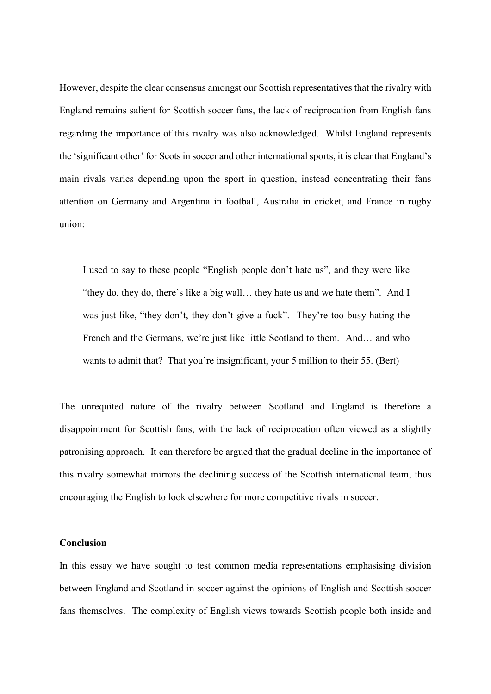However, despite the clear consensus amongst our Scottish representatives that the rivalry with England remains salient for Scottish soccer fans, the lack of reciprocation from English fans regarding the importance of this rivalry was also acknowledged. Whilst England represents the 'significant other' for Scots in soccer and other international sports, it is clear that England's main rivals varies depending upon the sport in question, instead concentrating their fans attention on Germany and Argentina in football, Australia in cricket, and France in rugby union:

I used to say to these people "English people don't hate us", and they were like "they do, they do, there's like a big wall… they hate us and we hate them". And I was just like, "they don't, they don't give a fuck". They're too busy hating the French and the Germans, we're just like little Scotland to them. And… and who wants to admit that? That you're insignificant, your 5 million to their 55. (Bert)

The unrequited nature of the rivalry between Scotland and England is therefore a disappointment for Scottish fans, with the lack of reciprocation often viewed as a slightly patronising approach. It can therefore be argued that the gradual decline in the importance of this rivalry somewhat mirrors the declining success of the Scottish international team, thus encouraging the English to look elsewhere for more competitive rivals in soccer.

### **Conclusion**

In this essay we have sought to test common media representations emphasising division between England and Scotland in soccer against the opinions of English and Scottish soccer fans themselves. The complexity of English views towards Scottish people both inside and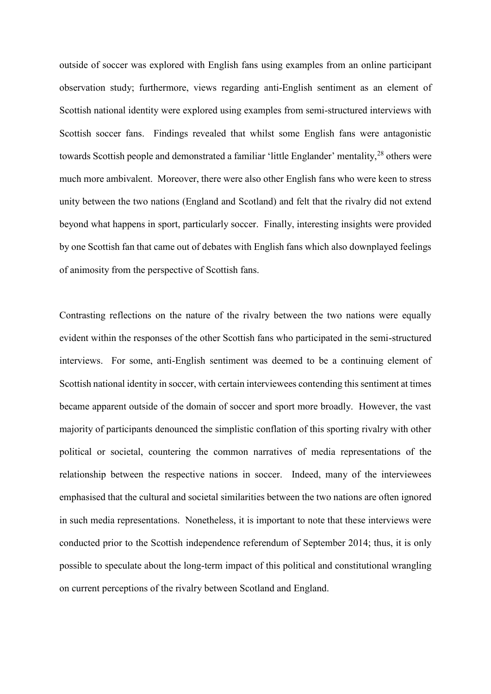outside of soccer was explored with English fans using examples from an online participant observation study; furthermore, views regarding anti-English sentiment as an element of Scottish national identity were explored using examples from semi-structured interviews with Scottish soccer fans. Findings revealed that whilst some English fans were antagonistic towards Scottish people and demonstrated a familiar 'little Englander' mentality,<sup>28</sup> others were much more ambivalent. Moreover, there were also other English fans who were keen to stress unity between the two nations (England and Scotland) and felt that the rivalry did not extend beyond what happens in sport, particularly soccer. Finally, interesting insights were provided by one Scottish fan that came out of debates with English fans which also downplayed feelings of animosity from the perspective of Scottish fans.

Contrasting reflections on the nature of the rivalry between the two nations were equally evident within the responses of the other Scottish fans who participated in the semi-structured interviews. For some, anti-English sentiment was deemed to be a continuing element of Scottish national identity in soccer, with certain interviewees contending this sentiment at times became apparent outside of the domain of soccer and sport more broadly. However, the vast majority of participants denounced the simplistic conflation of this sporting rivalry with other political or societal, countering the common narratives of media representations of the relationship between the respective nations in soccer. Indeed, many of the interviewees emphasised that the cultural and societal similarities between the two nations are often ignored in such media representations. Nonetheless, it is important to note that these interviews were conducted prior to the Scottish independence referendum of September 2014; thus, it is only possible to speculate about the long-term impact of this political and constitutional wrangling on current perceptions of the rivalry between Scotland and England.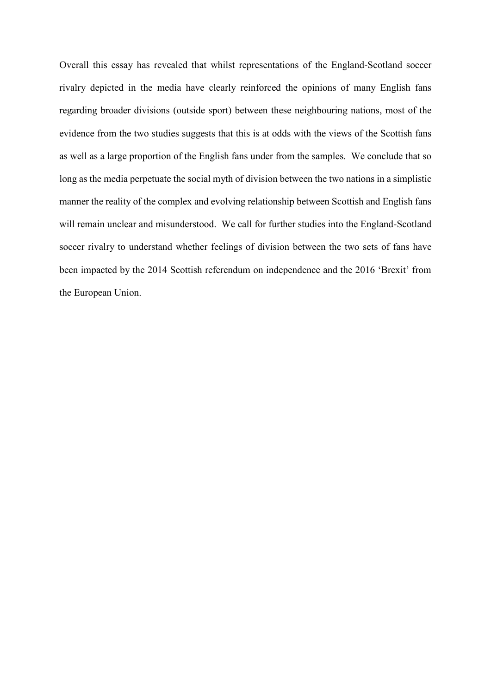Overall this essay has revealed that whilst representations of the England-Scotland soccer rivalry depicted in the media have clearly reinforced the opinions of many English fans regarding broader divisions (outside sport) between these neighbouring nations, most of the evidence from the two studies suggests that this is at odds with the views of the Scottish fans as well as a large proportion of the English fans under from the samples. We conclude that so long as the media perpetuate the social myth of division between the two nations in a simplistic manner the reality of the complex and evolving relationship between Scottish and English fans will remain unclear and misunderstood. We call for further studies into the England-Scotland soccer rivalry to understand whether feelings of division between the two sets of fans have been impacted by the 2014 Scottish referendum on independence and the 2016 'Brexit' from the European Union.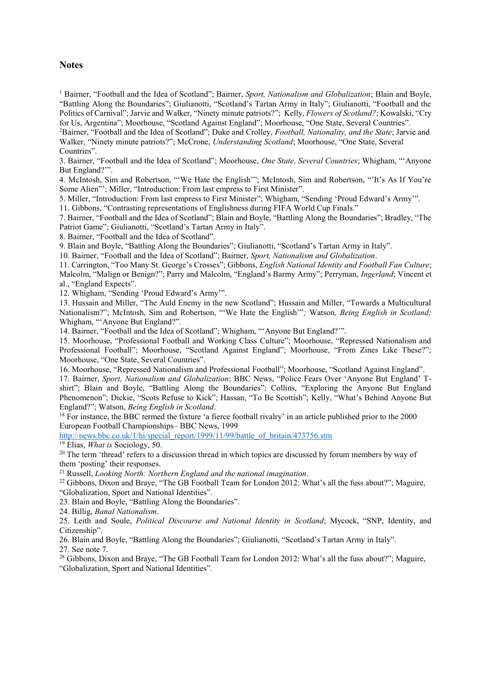### **Notes**

<sup>1</sup> Bairner, "Football and the Idea of Scotland"; Bairner, *Sport, Nationalism and Globalization*; Blain and Boyle, "Battling Along the Boundaries"; Giulianotti, "Scotland's Tartan Army in Italy"; Giulianotti, "Football and the Politics of Carnival"; Jarvie and Walker, "Ninety minute patriots?"; Kelly, *Flowers of Scotland?*; Kowalski, "Cry for Us, Argentina"; Moorhouse, "Scotland Against England"; Moorhouse, "One State, Several Countries".

<sup>2</sup>Bairner, "Football and the Idea of Scotland"; Duke and Crolley, *Football, Nationality, and the State*; Jarvie and Walker, "Ninety minute patriots?"; McCrone, *Understanding Scotland*; Moorhouse, "One State, Several Countries".

3. Bairner, "Football and the Idea of Scotland"; Moorhouse, *One State, Several Countries*; Whigham, "'Anyone But England?'".

4. McIntosh, Sim and Robertson, "'We Hate the English'"; McIntosh, Sim and Robertson, "'It's As If You're Some Alien"'; Miller, "Introduction: From last empress to First Minister".

5. Miller, "Introduction: From last empress to First Minister"; Whigham, "Sending 'Proud Edward's Army'".

11. Gibbons, "Contrasting representations of Englishness during FIFA World Cup Finals."

7. Bairner, "Football and the Idea of Scotland"; Blain and Boyle, "Battling Along the Boundaries"; Bradley, "The Patriot Game"; Giulianotti, "Scotland's Tartan Army in Italy".

8. Bairner, "Football and the Idea of Scotland".

9. Blain and Boyle, "Battling Along the Boundaries"; Giulianotti, "Scotland's Tartan Army in Italy".

10. Bairner, "Football and the Idea of Scotland"; Bairner, *Sport, Nationalism and Globalization*.

11. Carrington, "Too Many St. George's Crosses"; Gibbons, *English National Identity and Football Fan Culture*; Malcolm, "Malign or Benign?"; Parry and Malcolm, "England's Barmy Army"; Perryman, *Ingerland*; Vincent et al., "England Expects".

12. Whigham, "Sending 'Proud Edward's Army'".

13. Hussain and Miller, "The Auld Enemy in the new Scotland"; Hussain and Miller, "Towards a Multicultural Nationalism?"; McIntosh, Sim and Robertson, "'We Hate the English'"*;* Watson*, Being English in Scotland;*  Whigham, "'Anyone But England?"*.* 

14. Bairner, "Football and the Idea of Scotland"; Whigham, "'Anyone But England?'".

15. Moorhouse, "Professional Football and Working Class Culture"; Moorhouse, "Repressed Nationalism and Professional Football"; Moorhouse, "Scotland Against England"; Moorhouse, "From Zines Like These?"; Moorhouse, "One State, Several Countries".

16. Moorhouse, "Repressed Nationalism and Professional Football"; Moorhouse, "Scotland Against England".

17. Bairner, *Sport, Nationalism and Globalization*; BBC News, "Police Fears Over 'Anyone But England' Tshirt"; Blain and Boyle, "Battling Along the Boundaries"; Collins, "Exploring the Anyone But England Phenomenon"; Dickie, "Scots Refuse to Kick"; Hassan, "To Be Scottish"; Kelly, "What's Behind Anyone But England?"; Watson, *Being English in Scotland*.

<sup>18</sup> For instance, the BBC termed the fixture 'a fierce football rivalry' in an article published prior to the 2000 European Football Championships– BBC News, 1999

http://news.bbc.co.uk/1/hi/special\_report/1999/11/99/battle\_of\_britain/473756.stm

<sup>19</sup> Elias, *What is* Sociology, 50.

<sup>20</sup> The term 'thread' refers to a discussion thread in which topics are discussed by forum members by way of them 'posting' their responses.

<sup>21</sup> Russell, *Looking North: Northern England and the national imagination*.

<sup>22</sup> Gibbons, Dixon and Braye, "The GB Football Team for London 2012: What's all the fuss about?"; Maguire, "Globalization, Sport and National Identities".

23. Blain and Boyle, "Battling Along the Boundaries".

24. Billig, *Banal Nationalism*.

25. Leith and Soule, *Political Discourse and National Identity in Scotland*; Mycock, "SNP, Identity, and Citizenship".

26. Blain and Boyle, "Battling Along the Boundaries"; Giulianotti, "Scotland's Tartan Army in Italy". 27. See note 7.

<sup>28</sup> Gibbons, Dixon and Braye, "The GB Football Team for London 2012: What's all the fuss about?"; Maguire, "Globalization, Sport and National Identities".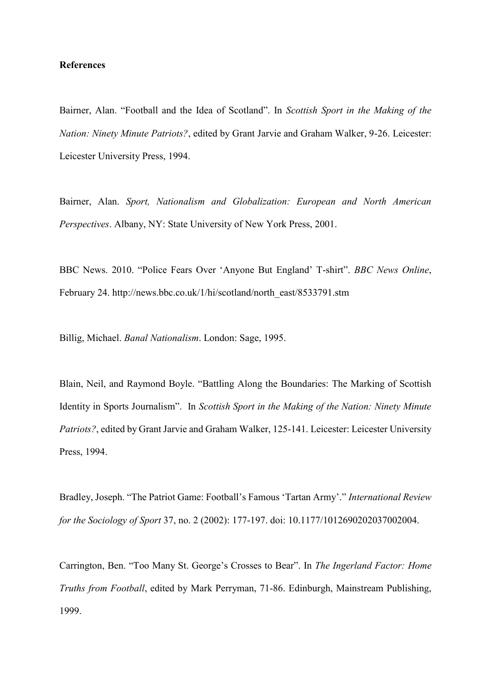### **References**

Bairner, Alan. "Football and the Idea of Scotland". In *Scottish Sport in the Making of the Nation: Ninety Minute Patriots?*, edited by Grant Jarvie and Graham Walker, 9-26. Leicester: Leicester University Press, 1994.

Bairner, Alan. *Sport, Nationalism and Globalization: European and North American Perspectives*. Albany, NY: State University of New York Press, 2001.

BBC News. 2010. "Police Fears Over 'Anyone But England' T-shirt". *BBC News Online*, February 24. http://news.bbc.co.uk/1/hi/scotland/north\_east/8533791.stm

Billig, Michael. *Banal Nationalism*. London: Sage, 1995.

Blain, Neil, and Raymond Boyle. "Battling Along the Boundaries: The Marking of Scottish Identity in Sports Journalism". In *Scottish Sport in the Making of the Nation: Ninety Minute Patriots?*, edited by Grant Jarvie and Graham Walker, 125-141. Leicester: Leicester University Press, 1994.

Bradley, Joseph. "The Patriot Game: Football's Famous 'Tartan Army'." *International Review for the Sociology of Sport* 37, no. 2 (2002): 177-197. doi: 10.1177/1012690202037002004.

Carrington, Ben. "Too Many St. George's Crosses to Bear". In *The Ingerland Factor: Home Truths from Football*, edited by Mark Perryman, 71-86. Edinburgh, Mainstream Publishing, 1999.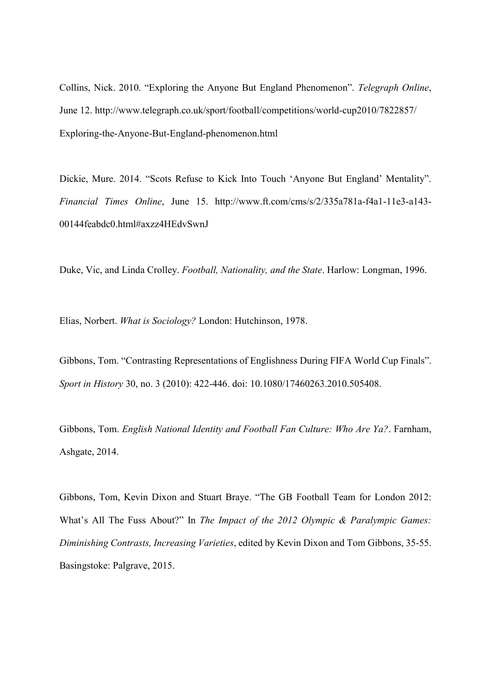Collins, Nick. 2010. "Exploring the Anyone But England Phenomenon". *Telegraph Online*, June 12. http://www.telegraph.co.uk/sport/football/competitions/world-cup2010/7822857/ Exploring-the-Anyone-But-England-phenomenon.html

Dickie, Mure. 2014. "Scots Refuse to Kick Into Touch 'Anyone But England' Mentality". *Financial Times Online*, June 15. http://www.ft.com/cms/s/2/335a781a-f4a1-11e3-a143- 00144feabdc0.html#axzz4HEdvSwnJ

Duke, Vic, and Linda Crolley. *Football, Nationality, and the State*. Harlow: Longman, 1996.

Elias, Norbert. *What is Sociology?* London: Hutchinson, 1978.

Gibbons, Tom. "Contrasting Representations of Englishness During FIFA World Cup Finals". *Sport in History* 30, no. 3 (2010): 422-446. doi: 10.1080/17460263.2010.505408.

Gibbons, Tom. *English National Identity and Football Fan Culture: Who Are Ya?*. Farnham, Ashgate, 2014.

Gibbons, Tom, Kevin Dixon and Stuart Braye. "The GB Football Team for London 2012: What's All The Fuss About?" In *The Impact of the 2012 Olympic & Paralympic Games: Diminishing Contrasts, Increasing Varieties*, edited by Kevin Dixon and Tom Gibbons, 35-55. Basingstoke: Palgrave, 2015.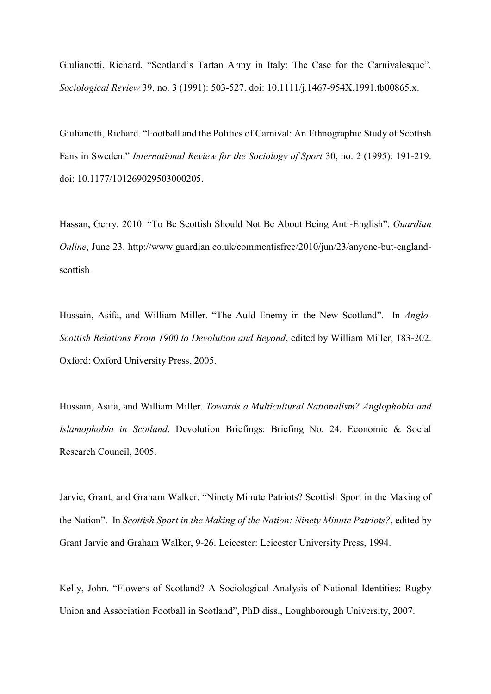Giulianotti, Richard. "Scotland's Tartan Army in Italy: The Case for the Carnivalesque". *Sociological Review* 39, no. 3 (1991): 503-527. doi: 10.1111/j.1467-954X.1991.tb00865.x.

Giulianotti, Richard. "Football and the Politics of Carnival: An Ethnographic Study of Scottish Fans in Sweden." *International Review for the Sociology of Sport* 30, no. 2 (1995): 191-219. doi: 10.1177/101269029503000205.

Hassan, Gerry. 2010. "To Be Scottish Should Not Be About Being Anti-English". *Guardian Online*, June 23. http://www.guardian.co.uk/commentisfree/2010/jun/23/anyone-but-englandscottish

Hussain, Asifa, and William Miller. "The Auld Enemy in the New Scotland". In *Anglo-Scottish Relations From 1900 to Devolution and Beyond*, edited by William Miller, 183-202. Oxford: Oxford University Press, 2005.

Hussain, Asifa, and William Miller. *Towards a Multicultural Nationalism? Anglophobia and Islamophobia in Scotland*. Devolution Briefings: Briefing No. 24. Economic & Social Research Council, 2005.

Jarvie, Grant, and Graham Walker. "Ninety Minute Patriots? Scottish Sport in the Making of the Nation". In *Scottish Sport in the Making of the Nation: Ninety Minute Patriots?*, edited by Grant Jarvie and Graham Walker, 9-26. Leicester: Leicester University Press, 1994.

Kelly, John. "Flowers of Scotland? A Sociological Analysis of National Identities: Rugby Union and Association Football in Scotland", PhD diss., Loughborough University, 2007.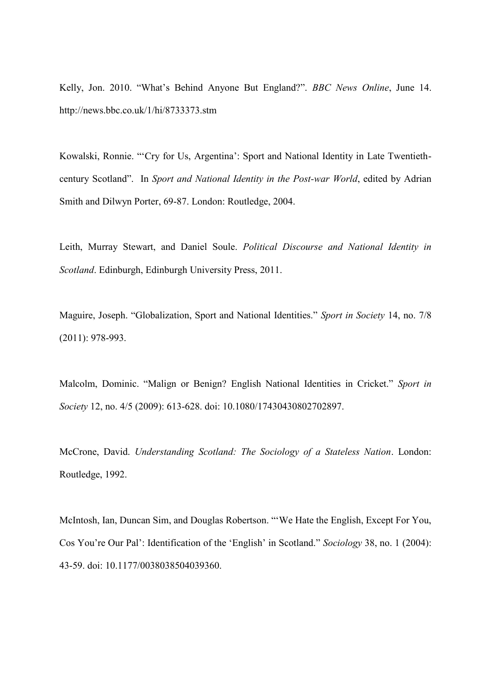Kelly, Jon. 2010. "What's Behind Anyone But England?". *BBC News Online*, June 14. http://news.bbc.co.uk/1/hi/8733373.stm

Kowalski, Ronnie. "'Cry for Us, Argentina': Sport and National Identity in Late Twentiethcentury Scotland". In *Sport and National Identity in the Post-war World*, edited by Adrian Smith and Dilwyn Porter, 69-87. London: Routledge, 2004.

Leith, Murray Stewart, and Daniel Soule. *Political Discourse and National Identity in Scotland*. Edinburgh, Edinburgh University Press, 2011.

Maguire, Joseph. "Globalization, Sport and National Identities." *Sport in Society* 14, no. 7/8 (2011): 978-993.

Malcolm, Dominic. "Malign or Benign? English National Identities in Cricket." *Sport in Society* 12, no. 4/5 (2009): 613-628. doi: 10.1080/17430430802702897.

McCrone, David. *Understanding Scotland: The Sociology of a Stateless Nation*. London: Routledge, 1992.

McIntosh, Ian, Duncan Sim, and Douglas Robertson. "'We Hate the English, Except For You, Cos You're Our Pal': Identification of the 'English' in Scotland." *Sociology* 38, no. 1 (2004): 43-59. doi: 10.1177/0038038504039360.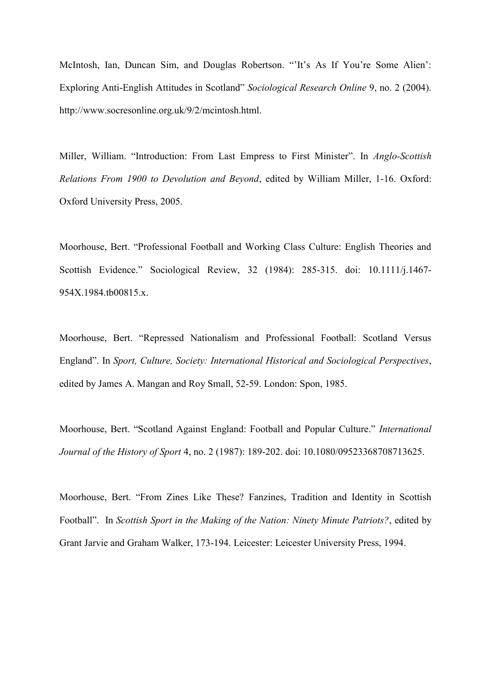McIntosh, Ian, Duncan Sim, and Douglas Robertson. "'It's As If You're Some Alien': Exploring Anti-English Attitudes in Scotland" *Sociological Research Online* 9, no. 2 (2004). http://www.socresonline.org.uk/9/2/mcintosh.html.

Miller, William. "Introduction: From Last Empress to First Minister". In *Anglo-Scottish Relations From 1900 to Devolution and Beyond*, edited by William Miller, 1-16. Oxford: Oxford University Press, 2005.

Moorhouse, Bert. "Professional Football and Working Class Culture: English Theories and Scottish Evidence." Sociological Review, 32 (1984): 285-315. doi: 10.1111/j.1467- 954X.1984.tb00815.x.

Moorhouse, Bert. "Repressed Nationalism and Professional Football: Scotland Versus England". In *Sport, Culture, Society: International Historical and Sociological Perspectives*, edited by James A. Mangan and Roy Small, 52-59. London: Spon, 1985.

Moorhouse, Bert. "Scotland Against England: Football and Popular Culture." *International Journal of the History of Sport* 4, no. 2 (1987): 189-202. doi: 10.1080/09523368708713625.

Moorhouse, Bert. "From Zines Like These? Fanzines, Tradition and Identity in Scottish Football". In *Scottish Sport in the Making of the Nation: Ninety Minute Patriots?*, edited by Grant Jarvie and Graham Walker, 173-194. Leicester: Leicester University Press, 1994.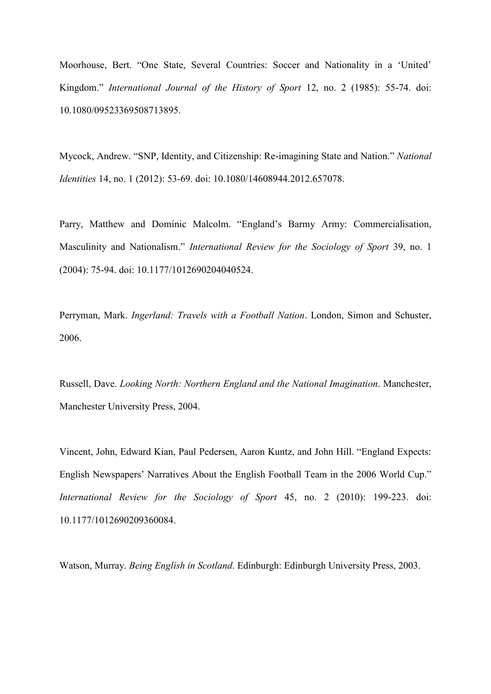Moorhouse, Bert. "One State, Several Countries: Soccer and Nationality in a 'United' Kingdom." *International Journal of the History of Sport* 12, no. 2 (1985): 55-74. doi: 10.1080/09523369508713895.

Mycock, Andrew. "SNP, Identity, and Citizenship: Re-imagining State and Nation." *National Identities* 14, no. 1 (2012): 53-69. doi: 10.1080/14608944.2012.657078.

Parry, Matthew and Dominic Malcolm. "England's Barmy Army: Commercialisation, Masculinity and Nationalism." *International Review for the Sociology of Sport* 39, no. 1 (2004): 75-94. doi: 10.1177/1012690204040524.

Perryman, Mark. *Ingerland: Travels with a Football Nation*. London, Simon and Schuster, 2006.

Russell, Dave. *Looking North: Northern England and the National Imagination*. Manchester, Manchester University Press, 2004.

Vincent, John, Edward Kian, Paul Pedersen, Aaron Kuntz, and John Hill. "England Expects: English Newspapers' Narratives About the English Football Team in the 2006 World Cup." *International Review for the Sociology of Sport* 45, no. 2 (2010): 199-223. doi: 10.1177/1012690209360084.

Watson, Murray. *Being English in Scotland*. Edinburgh: Edinburgh University Press, 2003.